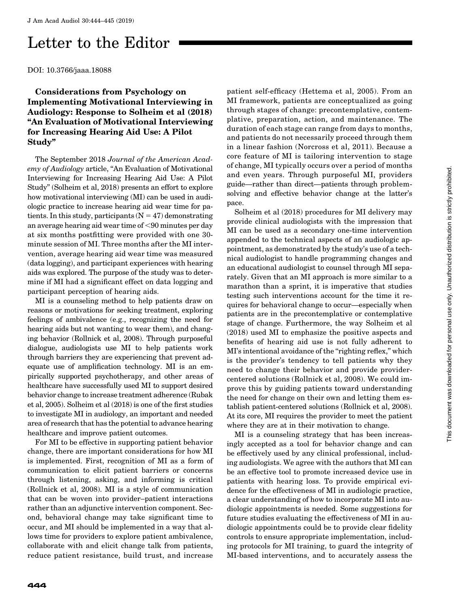## Letter to the Editor

DOI: 10.3766/jaaa.18088

Considerations from Psychology on Implementing Motivational Interviewing in Audiology: Response to Solheim et al (2018) ''An Evaluation of Motivational Interviewing for Increasing Hearing Aid Use: A Pilot Study''

The September 2018 Journal of the American Academy of Audiology article, "An Evaluation of Motivational Interviewing for Increasing Hearing Aid Use: A Pilot Study'' (Solheim et al, 2018) presents an effort to explore how motivational interviewing (MI) can be used in audiologic practice to increase hearing aid wear time for patients. In this study, participants  $(N = 47)$  demonstrating an average hearing aid wear time of  $<$ 90 minutes per day at six months postfitting were provided with one 30 minute session of MI. Three months after the MI intervention, average hearing aid wear time was measured (data logging), and participant experiences with hearing aids was explored. The purpose of the study was to determine if MI had a significant effect on data logging and participant perception of hearing aids.

MI is a counseling method to help patients draw on reasons or motivations for seeking treatment, exploring feelings of ambivalence (e.g., recognizing the need for hearing aids but not wanting to wear them), and changing behavior (Rollnick et al, 2008). Through purposeful dialogue, audiologists use MI to help patients work through barriers they are experiencing that prevent adequate use of amplification technology. MI is an empirically supported psychotherapy, and other areas of healthcare have successfully used MI to support desired behavior change to increase treatment adherence (Rubak et al, 2005). Solheim et al (2018) is one of the first studies to investigate MI in audiology, an important and needed area of research that has the potential to advance hearing healthcare and improve patient outcomes.

For MI to be effective in supporting patient behavior change, there are important considerations for how MI is implemented. First, recognition of MI as a form of communication to elicit patient barriers or concerns through listening, asking, and informing is critical (Rollnick et al, 2008). MI is a style of communication that can be woven into provider–patient interactions rather than an adjunctive intervention component. Second, behavioral change may take significant time to occur, and MI should be implemented in a way that allows time for providers to explore patient ambivalence, collaborate with and elicit change talk from patients, reduce patient resistance, build trust, and increase

patient self-efficacy (Hettema et al, 2005). From an MI framework, patients are conceptualized as going through stages of change: precontemplative, contemplative, preparation, action, and maintenance. The duration of each stage can range from days to months, and patients do not necessarily proceed through them in a linear fashion (Norcross et al, 2011). Because a core feature of MI is tailoring intervention to stage of change, MI typically occurs over a period of months and even years. Through purposeful MI, providers guide—rather than direct—patients through problemsolving and effective behavior change at the latter's pace.

Solheim et al (2018) procedures for MI delivery may provide clinical audiologists with the impression that MI can be used as a secondary one-time intervention appended to the technical aspects of an audiologic appointment, as demonstrated by the study's use of a technical audiologist to handle programming changes and an educational audiologist to counsel through MI separately. Given that an MI approach is more similar to a marathon than a sprint, it is imperative that studies testing such interventions account for the time it requires for behavioral change to occur—especially when patients are in the precontemplative or contemplative stage of change. Furthermore, the way Solheim et al (2018) used MI to emphasize the positive aspects and benefits of hearing aid use is not fully adherent to MI's intentional avoidance of the "righting reflex," which is the provider's tendency to tell patients why they need to change their behavior and provide providercentered solutions (Rollnick et al, 2008). We could improve this by guiding patients toward understanding the need for change on their own and letting them establish patient-centered solutions (Rollnick et al, 2008). At its core, MI requires the provider to meet the patient where they are at in their motivation to change.

MI is a counseling strategy that has been increasingly accepted as a tool for behavior change and can be effectively used by any clinical professional, including audiologists. We agree with the authors that MI can be an effective tool to promote increased device use in patients with hearing loss. To provide empirical evidence for the effectiveness of MI in audiologic practice, a clear understanding of how to incorporate MI into audiologic appointments is needed. Some suggestions for future studies evaluating the effectiveness of MI in audiologic appointments could be to provide clear fidelity controls to ensure appropriate implementation, including protocols for MI training, to guard the integrity of MI-based interventions, and to accurately assess the